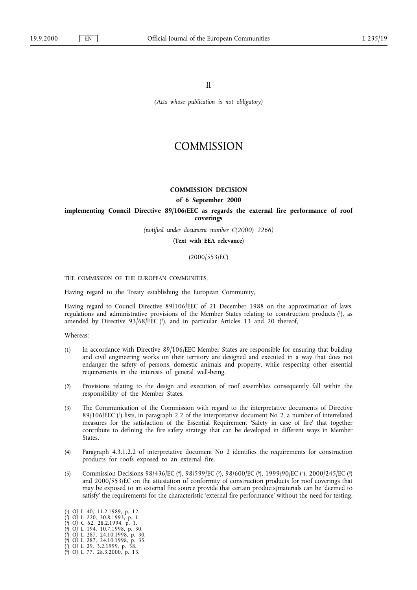II

*(Acts whose publication is not obligatory)*

# **COMMISSION**

## **COMMISSION DECISION**

#### **of 6 September 2000**

## implementing Council Directive 89/106/EEC as regards the external fire performance of roof **coverings**

*(notified under document number C(2000) 2266)*

**(Text with EEA relevance)**

(2000/553/EC)

THE COMMISSION OF THE EUROPEAN COMMUNITIES,

Having regard to the Treaty establishing the European Community,

Having regard to Council Directive 89/106/EEC of 21 December 1988 on the approximation of laws, regulations and administrative provisions of the Member States relating to construction products (1), as amended by Directive  $93/68/EEC$  (2), and in particular Articles 13 and 20 thereof,

Whereas:

- (1) In accordance with Directive 89/106/EEC Member States are responsible for ensuring that building and civil engineering works on their territory are designed and executed in a way that does not endanger the safety of persons, domestic animals and property, while respecting other essential requirements in the interests of general well-being.
- (2) Provisions relating to the design and execution of roof assemblies consequently fall within the responsibility of the Member States.
- (3) The Communication of the Commission with regard to the interpretative documents of Directive 89/106/EEC (3) lists, in paragraph 2.2 of the interpretative document No 2, a number of interrelated measures for the satisfaction of the Essential Requirement 'Safety in case of fire' that together contribute to defining the fire safety strategy that can be developed in different ways in Member States.
- (4) Paragraph 4.3.1.2.2 of interpretative document No 2 identifies the requirements for construction products for roofs exposed to an external fire.
- (5) Commission Decisions 98/436/EC (4), 98/599/EC (5), 98/600/EC (6), 1999/90/EC (7), 2000/245/EC (8) and 2000/553/EC on the attestation of conformity of construction products for roof coverings that may be exposed to an external fire source provide that certain products/materials can be 'deemed to satisfy' the requirements for the characteristic 'external fire performance' without the need for testing.

( 3) OJ C 62, 28.2.1994, p. 1.

<sup>(</sup> 1) OJ L 40, 11.2.1989, p. 12.

<sup>(</sup> 2) OJ L 220, 30.8.1993, p. 1.

<sup>(</sup> 4) OJ L 194, 10.7.1998, p. 30. ( 5) OJ L 287, 24.10.1998, p. 30.

<sup>(</sup> 6) OJ L 287, 24.10.1998, p. 35.

<sup>(</sup> 7) OJ L 29, 3.2.1999, p. 38.

<sup>(</sup> 8) OJ L 77, 28.3.2000, p. 13.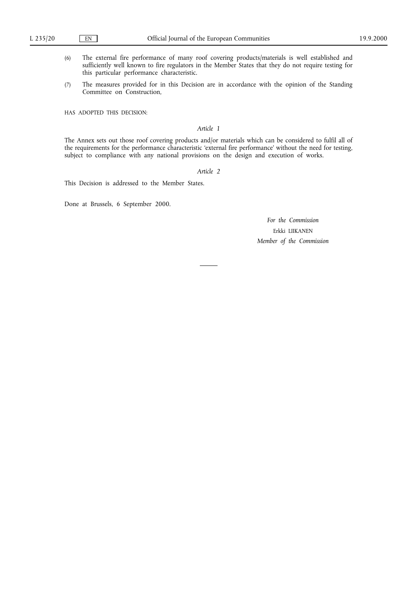- (6) The external fire performance of many roof covering products/materials is well established and sufficiently well known to fire regulators in the Member States that they do not require testing for this particular performance characteristic.
- (7) The measures provided for in this Decision are in accordance with the opinion of the Standing Committee on Construction,

HAS ADOPTED THIS DECISION:

## *Article 1*

The Annex sets out those roof covering products and/or materials which can be considered to fulfil all of the requirements for the performance characteristic 'external fire performance' without the need for testing, subject to compliance with any national provisions on the design and execution of works.

## *Article 2*

This Decision is addressed to the Member States.

Done at Brussels, 6 September 2000.

*For the Commission* Erkki LIIKANEN *Member of the Commission*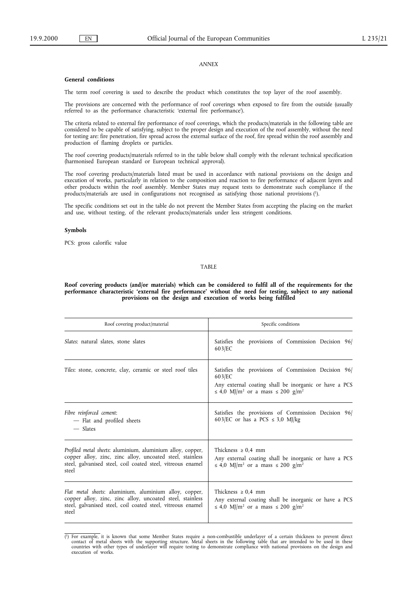#### *ANNEX*

#### **General conditions**

The term roof covering is used to describe the product which constitutes the top layer of the roof assembly.

The provisions are concerned with the performance of roof coverings when exposed to fire from the outside (usually referred to as the performance characteristic 'external fire performance').

The criteria related to external fire performance of roof coverings, which the products/materials in the following table are considered to be capable of satisfying, subject to the proper design and execution of the roof assembly, without the need for testing are: fire penetration, fire spread across the external surface of the roof, fire spread within the roof assembly and production of flaming droplets or particles.

The roof covering products/materials referred to in the table below shall comply with the relevant technical specification (harmonised European standard or European technical approval).

The roof covering products/materials listed must be used in accordance with national provisions on the design and execution of works, particularly in relation to the composition and reaction to fire performance of adjacent layers and other products within the roof assembly. Member States may request tests to demonstrate such compliance if the products/materials are used in configurations not recognised as satisfying those national provisions (1).

The specific conditions set out in the table do not prevent the Member States from accepting the placing on the market and use, without testing, of the relevant products/materials under less stringent conditions.

#### **Symbols**

PCS: gross calorific value

### TABLE

**Roof covering products (and/or materials) which can be considered to fulfil all of the requirements for the performance characteristic 'external fire performance' without the need for testing, subject to any national provisions on the design and execution of works being fulfilled**

| Roof covering product/material                                                                                                                                                                  | Specific conditions                                                                                                                                                                          |
|-------------------------------------------------------------------------------------------------------------------------------------------------------------------------------------------------|----------------------------------------------------------------------------------------------------------------------------------------------------------------------------------------------|
| Slates: natural slates, stone slates                                                                                                                                                            | Satisfies the provisions of Commission Decision 96/<br>603/EC                                                                                                                                |
| Tiles: stone, concrete, clay, ceramic or steel roof tiles                                                                                                                                       | Satisfies the provisions of Commission Decision 96/<br>603/EC<br>Any external coating shall be inorganic or have a PCS<br>$\leq$ 4,0 MJ/m <sup>2</sup> or a mass $\leq$ 200 g/m <sup>2</sup> |
| Fibre reinforced cement:<br>- Flat and profiled sheets<br>$\equiv$ Slates                                                                                                                       | Satisfies the provisions of Commission Decision 96/<br>603/EC or has a PCS $\leq$ 3,0 MJ/kg                                                                                                  |
| Profiled metal sheets: aluminium, aluminium alloy, copper,<br>copper alloy, zinc, zinc alloy, uncoated steel, stainless<br>steel, galvanised steel, coil coated steel, vitreous enamel<br>steel | Thickness $\geq 0.4$ mm<br>Any external coating shall be inorganic or have a PCS<br>$\leq$ 4,0 MJ/m <sup>2</sup> or a mass $\leq$ 200 g/m <sup>2</sup>                                       |
| Flat metal sheets: aluminium, aluminium alloy, copper,<br>copper alloy, zinc, zinc alloy, uncoated steel, stainless<br>steel, galvanised steel, coil coated steel, vitreous enamel<br>steel     | Thickness $\geq 0.4$ mm<br>Any external coating shall be inorganic or have a PCS<br>$\leq$ 4,0 MJ/m <sup>2</sup> or a mass $\leq$ 200 g/m <sup>2</sup>                                       |

<sup>(1)</sup> For example, it is known that some Member States require a non-combustible underlayer of a certain thickness to prevent direct contact of metal sheets with the supporting structure. Metal sheets in the following table execution of works.